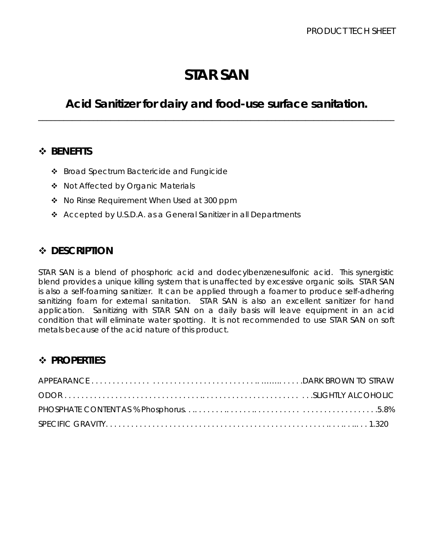# **STAR SAN**

## *Acid Sanitizer for dairy and food-use surface sanitation.* \_\_\_\_\_\_\_\_\_\_\_\_\_\_\_\_\_\_\_\_\_\_\_\_\_\_\_\_\_\_\_\_\_\_\_\_\_\_\_\_\_\_\_\_\_\_\_\_\_\_\_\_\_\_\_\_\_\_\_\_\_\_\_\_\_\_\_\_\_\_\_\_\_\_\_\_\_\_\_\_\_\_\_\_

## *BENEFITS*

- ❖ Broad Spectrum Bactericide and Fungicide
- ◆ Not Affected by Organic Materials
- No Rinse Requirement When Used at 300 ppm
- Accepted by U.S.D.A. as a General Sanitizer in all Departments

## *DESCRIPTION*

STAR SAN is a blend of phosphoric acid and dodecylbenzenesulfonic acid. This synergistic blend provides a unique killing system that is unaffected by excessive organic soils. STAR SAN is also a self-foaming sanitizer. It can be applied through a foamer to produce self-adhering sanitizing foam for external sanitation. STAR SAN is also an excellent sanitizer for hand application. Sanitizing with STAR SAN on a daily basis will leave equipment in an acid condition that will eliminate water spotting. It is not recommended to use STAR SAN on soft metals because of the acid nature of this product.

## **<sup>❖</sup> PROPERTIES**